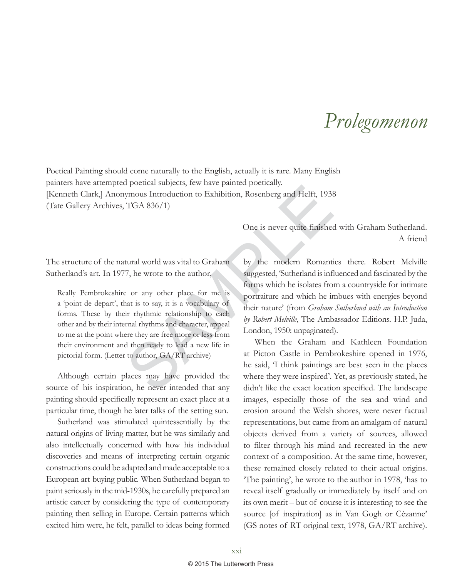## *Prolegomenon*

Poetical Painting should come naturally to the English, actually it is rare. Many English painters have attempted poetical subjects, few have painted poetically. [Kenneth Clark,] Anonymous Introduction to Exhibition, Rosenberg and Helft, 1938 (Tate Gallery Archives, TGA 836/1)

> One is never quite finished with Graham Sutherland. A friend

The structure of the natural world was vital to Graham Sutherland's art. In 1977, he wrote to the author,

FIGA 836/1)<br>
SAMPLE STORED AND TO EXPERIENCE THE SAMPLE TO EXAMPLE THE SAMPLE STORE ISSNET AND ONE is never quite finished<br>
tural world was vital to Graham<br>
7, he wrote to the author,<br>
2 or any other place for me is<br>
a to Really Pembrokeshire or any other place for me is a 'point de depart', that is to say, it is a vocabulary of forms. These by their rhythmic relationship to each other and by their internal rhythms and character, appeal to me at the point where they are free more or less from their environment and then ready to lead a new life in pictorial form. (Letter to author, GA/RT archive)

Although certain places may have provided the source of his inspiration, he never intended that any painting should specifically represent an exact place at a particular time, though he later talks of the setting sun.

Sutherland was stimulated quintessentially by the natural origins of living matter, but he was similarly and also intellectually concerned with how his individual discoveries and means of interpreting certain organic constructions could be adapted and made acceptable to a European art-buying public. When Sutherland began to paint seriously in the mid-1930s, he carefully prepared an artistic career by considering the type of contemporary painting then selling in Europe. Certain patterns which excited him were, he felt, parallel to ideas being formed

by the modern Romantics there. Robert Melville suggested, 'Sutherland is influenced and fascinated by the forms which he isolates from a countryside for intimate portraiture and which he imbues with energies beyond their nature' (from *Graham Sutherland with an Introduction by Robert Melville*, The Ambassador Editions. H.P. Juda, London, 1950: unpaginated).

When the Graham and Kathleen Foundation at Picton Castle in Pembrokeshire opened in 1976, he said, 'I think paintings are best seen in the places where they were inspired'. Yet, as previously stated, he didn't like the exact location specified. The landscape images, especially those of the sea and wind and erosion around the Welsh shores, were never factual representations, but came from an amalgam of natural objects derived from a variety of sources, allowed to filter through his mind and recreated in the new context of a composition. At the same time, however, these remained closely related to their actual origins. 'The painting', he wrote to the author in 1978, 'has to reveal itself gradually or immediately by itself and on its own merit – but of course it is interesting to see the source [of inspiration] as in Van Gogh or Cézanne' (GS notes of RT original text, 1978, GA/RT archive).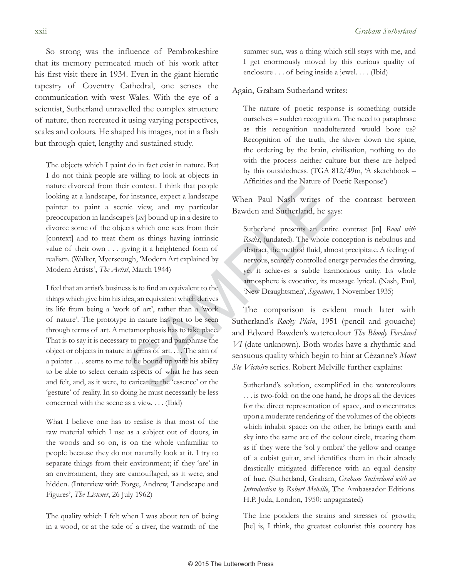So strong was the influence of Pembrokeshire that its memory permeated much of his work after his first visit there in 1934. Even in the giant hieratic tapestry of Coventry Cathedral, one senses the communication with west Wales. With the eye of a scientist, Sutherland unravelled the complex structure of nature, then recreated it using varying perspectives, scales and colours. He shaped his images, not in a flash but through quiet, lengthy and sustained study.

The objects which I paint do in fact exist in nature. But I do not think people are willing to look at objects in nature divorced from their context. I think that people looking at a landscape, for instance, expect a landscape painter to paint a scenic view, and my particular preoccupation in landscape's [*sic*] bound up in a desire to divorce some of the objects which one sees from their [context] and to treat them as things having intrinsic value of their own . . . giving it a heightened form of realism. (Walker, Myerscough, 'Modern Art explained by Modern Artists', *The Artist*, March 1944)

For context. I think that people<br>
inc view, and my particular<br>
Se's [id] bound up in a desire to<br>
then Paul Nash writes of<br>
Sawden and Sutherland, he sa<br>
ex's [id] bound up in a desire to<br>
then as things having intrinsic<br> I feel that an artist's business is to find an equivalent to the things which give him his idea, an equivalent which derives its life from being a 'work of art', rather than a 'work of nature'. The prototype in nature has got to be seen through terms of art. A metamorphosis has to take place. That is to say it is necessary to project and paraphrase the object or objects in nature in terms of art. . . . The aim of a painter . . . seems to me to be bound up with his ability to be able to select certain aspects of what he has seen and felt, and, as it were, to caricature the 'essence' or the 'gesture' of reality. In so doing he must necessarily be less concerned with the scene as a view. . . . (Ibid)

What I believe one has to realise is that most of the raw material which I use as a subject out of doors, in the woods and so on, is on the whole unfamiliar to people because they do not naturally look at it. I try to separate things from their environment; if they 'are' in an environment, they are camouflaged, as it were, and hidden. (Interview with Forge, Andrew, 'Landscape and Figures', *The Listener*, 26 July 1962)

The quality which I felt when I was about ten of being in a wood, or at the side of a river, the warmth of the

summer sun, was a thing which still stays with me, and I get enormously moved by this curious quality of enclosure . . . of being inside a jewel. . . . (Ibid)

Again, Graham Sutherland writes:

The nature of poetic response is something outside ourselves – sudden recognition. The need to paraphrase as this recognition unadulterated would bore us? Recognition of the truth, the shiver down the spine, the ordering by the brain, civilisation, nothing to do with the process neither culture but these are helped by this outsidedness. (TGA 812/49m, 'A sketchbook – Affinities and the Nature of Poetic Response')

When Paul Nash writes of the contrast between Bawden and Sutherland, he says:

Sutherland presents an entire contrast [in] *Road with Rocks*, (undated). The whole conception is nebulous and abstract, the method fluid, almost precipitate. A feeling of nervous, scarcely controlled energy pervades the drawing, yet it achieves a subtle harmonious unity. Its whole atmosphere is evocative, its message lyrical. (Nash, Paul, 'New Draughtsmen', *Signature*, 1 November 1935)

The comparison is evident much later with Sutherland's *Rocky Plain*, 1951 (pencil and gouache) and Edward Bawden's watercolour *The Bloody Foreland VI* (date unknown). Both works have a rhythmic and sensuous quality which begin to hint at Cézanne's *Mont Ste Victoire* series. Robert Melville further explains:

Sutherland's solution, exemplified in the watercolours . . . is two-fold: on the one hand, he drops all the devices for the direct representation of space, and concentrates upon a moderate rendering of the volumes of the objects which inhabit space: on the other, he brings earth and sky into the same arc of the colour circle, treating them as if they were the 'sol y ombra' the yellow and orange of a cubist guitar, and identifies them in their already drastically mitigated difference with an equal density of hue. (Sutherland, Graham, *Graham Sutherland with an Introduction by Robert Melville*, The Ambassador Editions. H.P. Juda, London, 1950: unpaginated)

The line ponders the strains and stresses of growth; [he] is, I think, the greatest colourist this country has